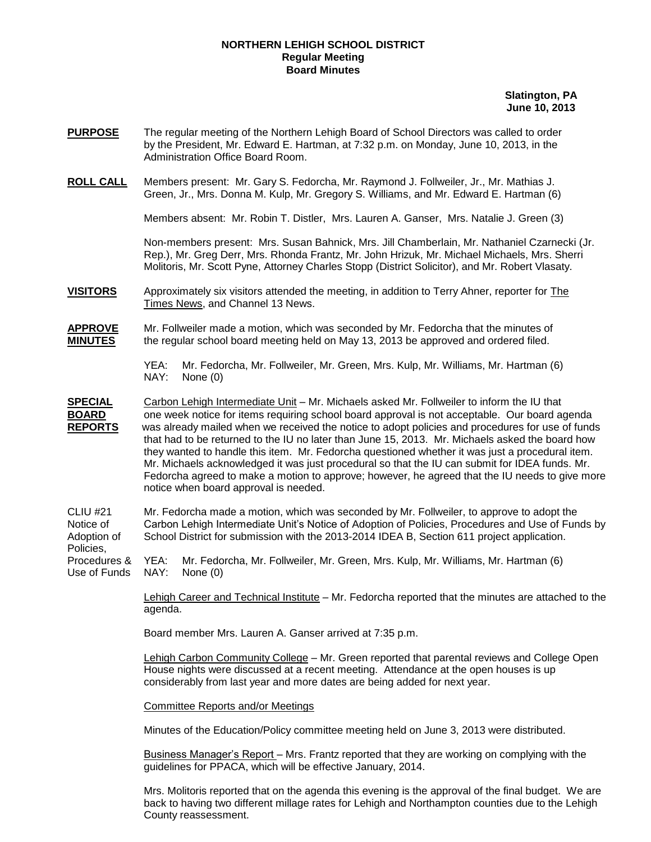## **NORTHERN LEHIGH SCHOOL DISTRICT Regular Meeting Board Minutes**

## **Slatington, PA June 10, 2013**

- **PURPOSE** The regular meeting of the Northern Lehigh Board of School Directors was called to order by the President, Mr. Edward E. Hartman, at 7:32 p.m. on Monday, June 10, 2013, in the Administration Office Board Room.
- **ROLL CALL** Members present: Mr. Gary S. Fedorcha, Mr. Raymond J. Follweiler, Jr., Mr. Mathias J. Green, Jr., Mrs. Donna M. Kulp, Mr. Gregory S. Williams, and Mr. Edward E. Hartman (6)

Members absent: Mr. Robin T. Distler, Mrs. Lauren A. Ganser, Mrs. Natalie J. Green (3)

Non-members present: Mrs. Susan Bahnick, Mrs. Jill Chamberlain, Mr. Nathaniel Czarnecki (Jr. Rep.), Mr. Greg Derr, Mrs. Rhonda Frantz, Mr. John Hrizuk, Mr. Michael Michaels, Mrs. Sherri Molitoris, Mr. Scott Pyne, Attorney Charles Stopp (District Solicitor), and Mr. Robert Vlasaty.

**VISITORS** Approximately six visitors attended the meeting, in addition to Terry Ahner, reporter for The Times News, and Channel 13 News.

**APPROVE** Mr. Follweiler made a motion, which was seconded by Mr. Fedorcha that the minutes of **MINUTES** the regular school board meeting held on May 13, 2013 be approved and ordered filed.

> YEA: Mr. Fedorcha, Mr. Follweiler, Mr. Green, Mrs. Kulp, Mr. Williams, Mr. Hartman (6) NAY: None (0)

**SPECIAL** Carbon Lehigh Intermediate Unit – Mr. Michaels asked Mr. Follweiler to inform the IU that **BOARD** one week notice for items requiring school board approval is not acceptable. Our board agenda **REPORTS** was already mailed when we received the notice to adopt policies and procedures for use of funds that had to be returned to the IU no later than June 15, 2013. Mr. Michaels asked the board how they wanted to handle this item. Mr. Fedorcha questioned whether it was just a procedural item. Mr. Michaels acknowledged it was just procedural so that the IU can submit for IDEA funds. Mr. Fedorcha agreed to make a motion to approve; however, he agreed that the IU needs to give more notice when board approval is needed.

CLIU #21 Mr. Fedorcha made a motion, which was seconded by Mr. Follweiler, to approve to adopt the Notice of Carbon Lehigh Intermediate Unit's Notice of Adoption of Policies, Procedures and Use of Funds by Adoption of School District for submission with the 2013-2014 IDEA B, Section 611 project application. Policies,

Procedures & YEA: Mr. Fedorcha, Mr. Follweiler, Mr. Green, Mrs. Kulp, Mr. Williams, Mr. Hartman (6) Use of Funds NAY: None (0)

> Lehigh Career and Technical Institute – Mr. Fedorcha reported that the minutes are attached to the agenda.

Board member Mrs. Lauren A. Ganser arrived at 7:35 p.m.

Lehigh Carbon Community College – Mr. Green reported that parental reviews and College Open House nights were discussed at a recent meeting. Attendance at the open houses is up considerably from last year and more dates are being added for next year.

Committee Reports and/or Meetings

Minutes of the Education/Policy committee meeting held on June 3, 2013 were distributed.

Business Manager's Report – Mrs. Frantz reported that they are working on complying with the guidelines for PPACA, which will be effective January, 2014.

Mrs. Molitoris reported that on the agenda this evening is the approval of the final budget. We are back to having two different millage rates for Lehigh and Northampton counties due to the Lehigh County reassessment.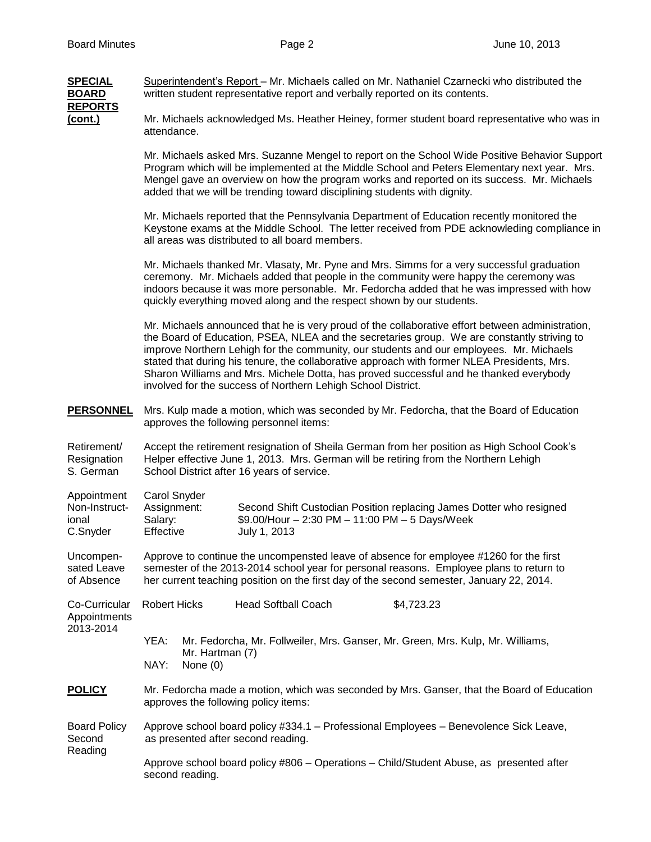| <b>SPECIAL</b><br><b>BOARD</b><br><b>REPORTS</b>  | Superintendent's Report – Mr. Michaels called on Mr. Nathaniel Czarnecki who distributed the<br>written student representative report and verbally reported on its contents.                                                                                                                                                                                                                                                                                                                                                                        |
|---------------------------------------------------|-----------------------------------------------------------------------------------------------------------------------------------------------------------------------------------------------------------------------------------------------------------------------------------------------------------------------------------------------------------------------------------------------------------------------------------------------------------------------------------------------------------------------------------------------------|
| <u>(cont.)</u>                                    | Mr. Michaels acknowledged Ms. Heather Heiney, former student board representative who was in<br>attendance.                                                                                                                                                                                                                                                                                                                                                                                                                                         |
|                                                   | Mr. Michaels asked Mrs. Suzanne Mengel to report on the School Wide Positive Behavior Support<br>Program which will be implemented at the Middle School and Peters Elementary next year. Mrs.<br>Mengel gave an overview on how the program works and reported on its success. Mr. Michaels<br>added that we will be trending toward disciplining students with dignity.                                                                                                                                                                            |
|                                                   | Mr. Michaels reported that the Pennsylvania Department of Education recently monitored the<br>Keystone exams at the Middle School. The letter received from PDE acknowleding compliance in<br>all areas was distributed to all board members.                                                                                                                                                                                                                                                                                                       |
|                                                   | Mr. Michaels thanked Mr. Vlasaty, Mr. Pyne and Mrs. Simms for a very successful graduation<br>ceremony. Mr. Michaels added that people in the community were happy the ceremony was<br>indoors because it was more personable. Mr. Fedorcha added that he was impressed with how<br>quickly everything moved along and the respect shown by our students.                                                                                                                                                                                           |
|                                                   | Mr. Michaels announced that he is very proud of the collaborative effort between administration,<br>the Board of Education, PSEA, NLEA and the secretaries group. We are constantly striving to<br>improve Northern Lehigh for the community, our students and our employees. Mr. Michaels<br>stated that during his tenure, the collaborative approach with former NLEA Presidents, Mrs.<br>Sharon Williams and Mrs. Michele Dotta, has proved successful and he thanked everybody<br>involved for the success of Northern Lehigh School District. |
| <b>PERSONNEL</b>                                  | Mrs. Kulp made a motion, which was seconded by Mr. Fedorcha, that the Board of Education<br>approves the following personnel items:                                                                                                                                                                                                                                                                                                                                                                                                                 |
| Retirement/<br>Resignation<br>S. German           | Accept the retirement resignation of Sheila German from her position as High School Cook's<br>Helper effective June 1, 2013. Mrs. German will be retiring from the Northern Lehigh<br>School District after 16 years of service.                                                                                                                                                                                                                                                                                                                    |
| Appointment<br>Non-Instruct-<br>ional<br>C.Snyder | Carol Snyder<br>Assignment:<br>Second Shift Custodian Position replacing James Dotter who resigned<br>Salary:<br>\$9.00/Hour - 2:30 PM - 11:00 PM - 5 Days/Week<br>Effective<br>July 1, 2013                                                                                                                                                                                                                                                                                                                                                        |
| Uncompen-<br>sated Leave<br>of Absence            | Approve to continue the uncompensted leave of absence for employee #1260 for the first<br>semester of the 2013-2014 school year for personal reasons. Employee plans to return to<br>her current teaching position on the first day of the second semester, January 22, 2014.                                                                                                                                                                                                                                                                       |
| Co-Curricular<br>Appointments<br>2013-2014        | <b>Robert Hicks</b><br><b>Head Softball Coach</b><br>\$4,723.23                                                                                                                                                                                                                                                                                                                                                                                                                                                                                     |
|                                                   | Mr. Fedorcha, Mr. Follweiler, Mrs. Ganser, Mr. Green, Mrs. Kulp, Mr. Williams,<br>YEA:<br>Mr. Hartman (7)<br>NAY:<br>None $(0)$                                                                                                                                                                                                                                                                                                                                                                                                                     |
| <b>POLICY</b>                                     | Mr. Fedorcha made a motion, which was seconded by Mrs. Ganser, that the Board of Education<br>approves the following policy items:                                                                                                                                                                                                                                                                                                                                                                                                                  |
| <b>Board Policy</b><br>Second<br>Reading          | Approve school board policy #334.1 - Professional Employees - Benevolence Sick Leave,<br>as presented after second reading.                                                                                                                                                                                                                                                                                                                                                                                                                         |
|                                                   | Approve school board policy #806 – Operations – Child/Student Abuse, as presented after<br>second reading.                                                                                                                                                                                                                                                                                                                                                                                                                                          |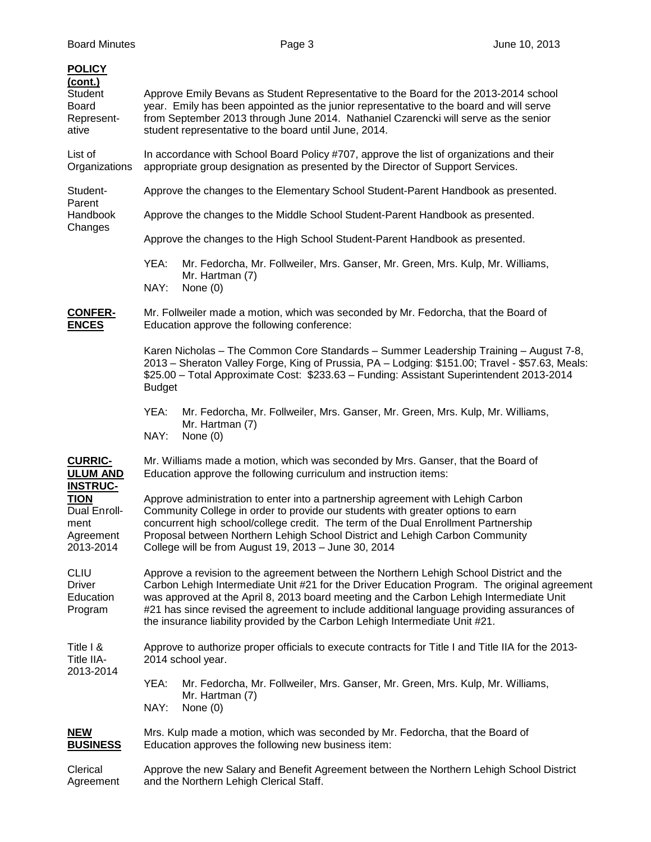| <b>POLICY</b><br>(cont.)<br>Student<br><b>Board</b><br>Represent-<br>ative       | Approve Emily Bevans as Student Representative to the Board for the 2013-2014 school<br>year. Emily has been appointed as the junior representative to the board and will serve<br>from September 2013 through June 2014. Nathaniel Czarencki will serve as the senior<br>student representative to the board until June, 2014.                                                                                                                                  |
|----------------------------------------------------------------------------------|------------------------------------------------------------------------------------------------------------------------------------------------------------------------------------------------------------------------------------------------------------------------------------------------------------------------------------------------------------------------------------------------------------------------------------------------------------------|
| List of<br>Organizations                                                         | In accordance with School Board Policy #707, approve the list of organizations and their<br>appropriate group designation as presented by the Director of Support Services.                                                                                                                                                                                                                                                                                      |
| Student-<br>Parent<br>Handbook<br>Changes                                        | Approve the changes to the Elementary School Student-Parent Handbook as presented.                                                                                                                                                                                                                                                                                                                                                                               |
|                                                                                  | Approve the changes to the Middle School Student-Parent Handbook as presented.                                                                                                                                                                                                                                                                                                                                                                                   |
|                                                                                  | Approve the changes to the High School Student-Parent Handbook as presented.                                                                                                                                                                                                                                                                                                                                                                                     |
|                                                                                  | YEA:<br>Mr. Fedorcha, Mr. Follweiler, Mrs. Ganser, Mr. Green, Mrs. Kulp, Mr. Williams,<br>Mr. Hartman (7)<br>NAY:<br>None $(0)$                                                                                                                                                                                                                                                                                                                                  |
| <b>CONFER-</b><br><b>ENCES</b>                                                   | Mr. Follweiler made a motion, which was seconded by Mr. Fedorcha, that the Board of<br>Education approve the following conference:                                                                                                                                                                                                                                                                                                                               |
|                                                                                  | Karen Nicholas - The Common Core Standards - Summer Leadership Training - August 7-8,<br>2013 - Sheraton Valley Forge, King of Prussia, PA - Lodging: \$151.00; Travel - \$57.63, Meals:<br>\$25.00 - Total Approximate Cost: \$233.63 - Funding: Assistant Superintendent 2013-2014<br><b>Budget</b>                                                                                                                                                            |
|                                                                                  | YEA:<br>Mr. Fedorcha, Mr. Follweiler, Mrs. Ganser, Mr. Green, Mrs. Kulp, Mr. Williams,<br>Mr. Hartman (7)<br>NAY:<br>None $(0)$                                                                                                                                                                                                                                                                                                                                  |
| <b>CURRIC-</b><br><b>ULUM AND</b>                                                | Mr. Williams made a motion, which was seconded by Mrs. Ganser, that the Board of<br>Education approve the following curriculum and instruction items:                                                                                                                                                                                                                                                                                                            |
| <b>INSTRUC-</b><br><b>TION</b><br>Dual Enroll-<br>ment<br>Agreement<br>2013-2014 | Approve administration to enter into a partnership agreement with Lehigh Carbon<br>Community College in order to provide our students with greater options to earn<br>concurrent high school/college credit. The term of the Dual Enrollment Partnership<br>Proposal between Northern Lehigh School District and Lehigh Carbon Community<br>College will be from August 19, 2013 - June 30, 2014                                                                 |
| <b>CLIU</b><br>Driver<br>Education<br>Program                                    | Approve a revision to the agreement between the Northern Lehigh School District and the<br>Carbon Lehigh Intermediate Unit #21 for the Driver Education Program. The original agreement<br>was approved at the April 8, 2013 board meeting and the Carbon Lehigh Intermediate Unit<br>#21 has since revised the agreement to include additional language providing assurances of<br>the insurance liability provided by the Carbon Lehigh Intermediate Unit #21. |
| Title I &<br>Title IIA-<br>2013-2014                                             | Approve to authorize proper officials to execute contracts for Title I and Title IIA for the 2013-<br>2014 school year.                                                                                                                                                                                                                                                                                                                                          |
|                                                                                  | YEA:<br>Mr. Fedorcha, Mr. Follweiler, Mrs. Ganser, Mr. Green, Mrs. Kulp, Mr. Williams,<br>Mr. Hartman (7)<br>NAY:<br>None $(0)$                                                                                                                                                                                                                                                                                                                                  |
| <b>NEW</b><br><b>BUSINESS</b>                                                    | Mrs. Kulp made a motion, which was seconded by Mr. Fedorcha, that the Board of<br>Education approves the following new business item:                                                                                                                                                                                                                                                                                                                            |
| Clerical<br>Agreement                                                            | Approve the new Salary and Benefit Agreement between the Northern Lehigh School District<br>and the Northern Lehigh Clerical Staff.                                                                                                                                                                                                                                                                                                                              |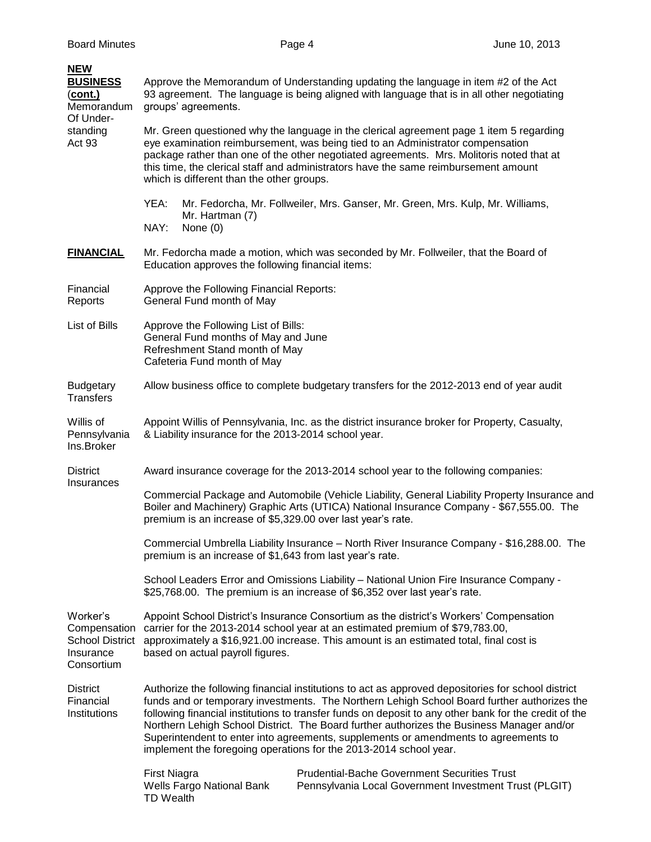| <b>NEW</b><br><b>BUSINESS</b><br>(cont.)<br>Memorandum<br>Of Under-<br>standing<br>Act 93 | Approve the Memorandum of Understanding updating the language in item #2 of the Act<br>93 agreement. The language is being aligned with language that is in all other negotiating<br>groups' agreements.<br>Mr. Green questioned why the language in the clerical agreement page 1 item 5 regarding<br>eye examination reimbursement, was being tied to an Administrator compensation<br>package rather than one of the other negotiated agreements. Mrs. Molitoris noted that at<br>this time, the clerical staff and administrators have the same reimbursement amount<br>which is different than the other groups. |
|-------------------------------------------------------------------------------------------|-----------------------------------------------------------------------------------------------------------------------------------------------------------------------------------------------------------------------------------------------------------------------------------------------------------------------------------------------------------------------------------------------------------------------------------------------------------------------------------------------------------------------------------------------------------------------------------------------------------------------|
|                                                                                           | YEA:<br>Mr. Fedorcha, Mr. Follweiler, Mrs. Ganser, Mr. Green, Mrs. Kulp, Mr. Williams,<br>Mr. Hartman (7)<br>NAY:<br>None $(0)$                                                                                                                                                                                                                                                                                                                                                                                                                                                                                       |
| <b>FINANCIAL</b>                                                                          | Mr. Fedorcha made a motion, which was seconded by Mr. Follweiler, that the Board of<br>Education approves the following financial items:                                                                                                                                                                                                                                                                                                                                                                                                                                                                              |
| Financial<br>Reports                                                                      | Approve the Following Financial Reports:<br>General Fund month of May                                                                                                                                                                                                                                                                                                                                                                                                                                                                                                                                                 |
| List of Bills                                                                             | Approve the Following List of Bills:<br>General Fund months of May and June<br>Refreshment Stand month of May<br>Cafeteria Fund month of May                                                                                                                                                                                                                                                                                                                                                                                                                                                                          |
| <b>Budgetary</b><br><b>Transfers</b>                                                      | Allow business office to complete budgetary transfers for the 2012-2013 end of year audit                                                                                                                                                                                                                                                                                                                                                                                                                                                                                                                             |
| Willis of<br>Pennsylvania<br>Ins.Broker                                                   | Appoint Willis of Pennsylvania, Inc. as the district insurance broker for Property, Casualty,<br>& Liability insurance for the 2013-2014 school year.                                                                                                                                                                                                                                                                                                                                                                                                                                                                 |
| <b>District</b>                                                                           | Award insurance coverage for the 2013-2014 school year to the following companies:                                                                                                                                                                                                                                                                                                                                                                                                                                                                                                                                    |
| Insurances                                                                                | Commercial Package and Automobile (Vehicle Liability, General Liability Property Insurance and<br>Boiler and Machinery) Graphic Arts (UTICA) National Insurance Company - \$67,555.00. The<br>premium is an increase of \$5,329.00 over last year's rate.                                                                                                                                                                                                                                                                                                                                                             |
|                                                                                           | Commercial Umbrella Liability Insurance - North River Insurance Company - \$16,288.00. The<br>premium is an increase of \$1,643 from last year's rate.                                                                                                                                                                                                                                                                                                                                                                                                                                                                |
|                                                                                           | School Leaders Error and Omissions Liability - National Union Fire Insurance Company -<br>\$25,768.00. The premium is an increase of \$6,352 over last year's rate.                                                                                                                                                                                                                                                                                                                                                                                                                                                   |
| Worker's<br>Compensation<br><b>School District</b><br>Insurance<br>Consortium             | Appoint School District's Insurance Consortium as the district's Workers' Compensation<br>carrier for the 2013-2014 school year at an estimated premium of \$79,783.00,<br>approximately a \$16,921.00 increase. This amount is an estimated total, final cost is<br>based on actual payroll figures.                                                                                                                                                                                                                                                                                                                 |
| <b>District</b><br>Financial<br>Institutions                                              | Authorize the following financial institutions to act as approved depositories for school district<br>funds and or temporary investments. The Northern Lehigh School Board further authorizes the<br>following financial institutions to transfer funds on deposit to any other bank for the credit of the<br>Northern Lehigh School District. The Board further authorizes the Business Manager and/or<br>Superintendent to enter into agreements, supplements or amendments to agreements to<br>implement the foregoing operations for the 2013-2014 school year.                                                   |
|                                                                                           | <b>First Niagra</b><br><b>Prudential-Bache Government Securities Trust</b><br>Wells Fargo National Bank<br>Pennsylvania Local Government Investment Trust (PLGIT)<br><b>TD Wealth</b>                                                                                                                                                                                                                                                                                                                                                                                                                                 |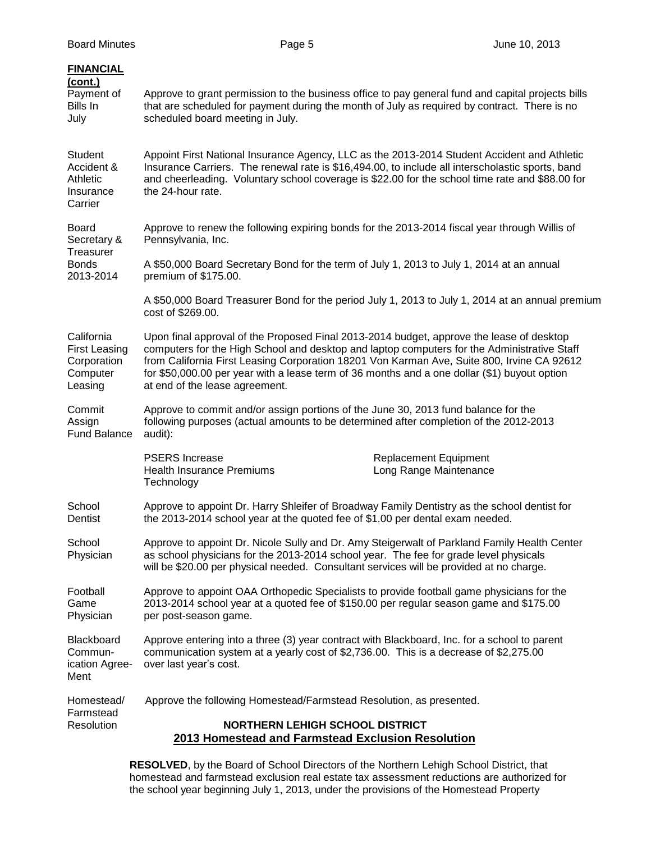| <b>FINANCIAL</b><br>(cont.)<br>Payment of<br>Bills In<br>July            | Approve to grant permission to the business office to pay general fund and capital projects bills<br>that are scheduled for payment during the month of July as required by contract. There is no<br>scheduled board meeting in July.                                                                                                                                                                                   |
|--------------------------------------------------------------------------|-------------------------------------------------------------------------------------------------------------------------------------------------------------------------------------------------------------------------------------------------------------------------------------------------------------------------------------------------------------------------------------------------------------------------|
| Student<br>Accident &<br>Athletic<br>Insurance<br>Carrier                | Appoint First National Insurance Agency, LLC as the 2013-2014 Student Accident and Athletic<br>Insurance Carriers. The renewal rate is \$16,494.00, to include all interscholastic sports, band<br>and cheerleading. Voluntary school coverage is \$22.00 for the school time rate and \$88.00 for<br>the 24-hour rate.                                                                                                 |
| <b>Board</b><br>Secretary &                                              | Approve to renew the following expiring bonds for the 2013-2014 fiscal year through Willis of<br>Pennsylvania, Inc.                                                                                                                                                                                                                                                                                                     |
| Treasurer<br><b>Bonds</b><br>2013-2014                                   | A \$50,000 Board Secretary Bond for the term of July 1, 2013 to July 1, 2014 at an annual<br>premium of \$175.00.                                                                                                                                                                                                                                                                                                       |
|                                                                          | A \$50,000 Board Treasurer Bond for the period July 1, 2013 to July 1, 2014 at an annual premium<br>cost of \$269.00.                                                                                                                                                                                                                                                                                                   |
| California<br><b>First Leasing</b><br>Corporation<br>Computer<br>Leasing | Upon final approval of the Proposed Final 2013-2014 budget, approve the lease of desktop<br>computers for the High School and desktop and laptop computers for the Administrative Staff<br>from California First Leasing Corporation 18201 Von Karman Ave, Suite 800, Irvine CA 92612<br>for \$50,000.00 per year with a lease term of 36 months and a one dollar (\$1) buyout option<br>at end of the lease agreement. |
| Commit<br>Assign<br><b>Fund Balance</b>                                  | Approve to commit and/or assign portions of the June 30, 2013 fund balance for the<br>following purposes (actual amounts to be determined after completion of the 2012-2013<br>audit):                                                                                                                                                                                                                                  |
|                                                                          | <b>PSERS</b> Increase<br><b>Replacement Equipment</b><br>Long Range Maintenance<br><b>Health Insurance Premiums</b><br>Technology                                                                                                                                                                                                                                                                                       |
| School<br>Dentist                                                        | Approve to appoint Dr. Harry Shleifer of Broadway Family Dentistry as the school dentist for<br>the 2013-2014 school year at the quoted fee of \$1.00 per dental exam needed.                                                                                                                                                                                                                                           |
| School<br>Physician                                                      | Approve to appoint Dr. Nicole Sully and Dr. Amy Steigerwalt of Parkland Family Health Center<br>as school physicians for the 2013-2014 school year. The fee for grade level physicals<br>will be \$20.00 per physical needed. Consultant services will be provided at no charge.                                                                                                                                        |
| Football<br>Game<br>Physician                                            | Approve to appoint OAA Orthopedic Specialists to provide football game physicians for the<br>2013-2014 school year at a quoted fee of \$150.00 per regular season game and \$175.00<br>per post-season game.                                                                                                                                                                                                            |
| Blackboard<br>Commun-<br>ication Agree-<br>Ment                          | Approve entering into a three (3) year contract with Blackboard, Inc. for a school to parent<br>communication system at a yearly cost of \$2,736.00. This is a decrease of \$2,275.00<br>over last year's cost.                                                                                                                                                                                                         |
| Homestead/<br>Farmstead                                                  | Approve the following Homestead/Farmstead Resolution, as presented.                                                                                                                                                                                                                                                                                                                                                     |
| Resolution                                                               | <b>NORTHERN LEHIGH SCHOOL DISTRICT</b><br>2013 Homestead and Farmstead Exclusion Resolution                                                                                                                                                                                                                                                                                                                             |

**RESOLVED**, by the Board of School Directors of the Northern Lehigh School District, that homestead and farmstead exclusion real estate tax assessment reductions are authorized for the school year beginning July 1, 2013, under the provisions of the Homestead Property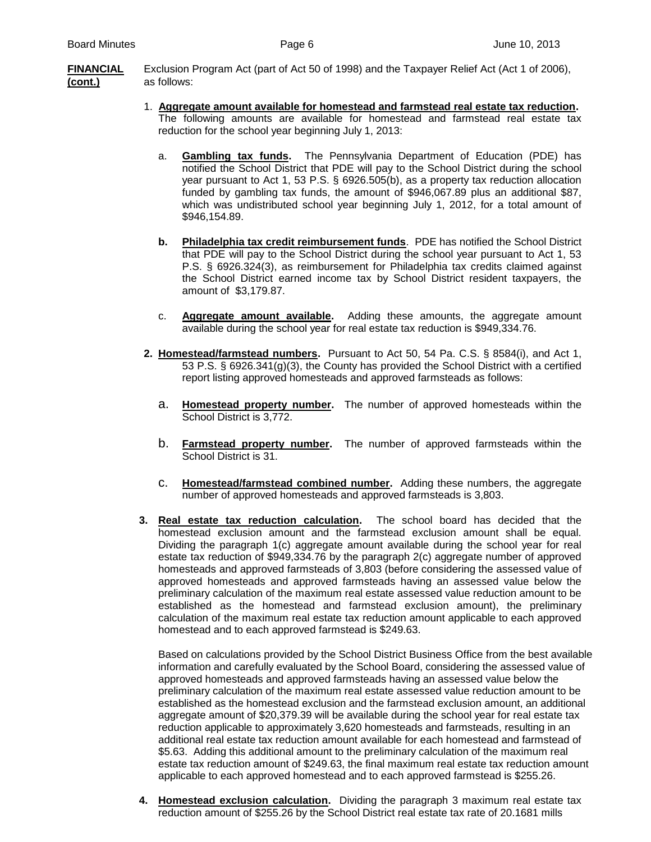**FINANCIAL** Exclusion Program Act (part of Act 50 of 1998) and the Taxpayer Relief Act (Act 1 of 2006), **(cont.)** as follows:

- 1. **Aggregate amount available for homestead and farmstead real estate tax reduction.** The following amounts are available for homestead and farmstead real estate tax reduction for the school year beginning July 1, 2013:
	- a. **Gambling tax funds.** The Pennsylvania Department of Education (PDE) has notified the School District that PDE will pay to the School District during the school year pursuant to Act 1, 53 P.S. § 6926.505(b), as a property tax reduction allocation funded by gambling tax funds, the amount of \$946,067.89 plus an additional \$87, which was undistributed school year beginning July 1, 2012, for a total amount of \$946,154.89.
	- **b. Philadelphia tax credit reimbursement funds**. PDE has notified the School District that PDE will pay to the School District during the school year pursuant to Act 1, 53 P.S. § 6926.324(3), as reimbursement for Philadelphia tax credits claimed against the School District earned income tax by School District resident taxpayers, the amount of \$3,179.87.
	- c. **Aggregate amount available.** Adding these amounts, the aggregate amount available during the school year for real estate tax reduction is \$949,334.76.
- **2. Homestead/farmstead numbers.** Pursuant to Act 50, 54 Pa. C.S. § 8584(i), and Act 1, 53 P.S. § 6926.341(g)(3), the County has provided the School District with a certified report listing approved homesteads and approved farmsteads as follows:
	- a. **Homestead property number.** The number of approved homesteads within the School District is 3,772.
	- b. **Farmstead property number.** The number of approved farmsteads within the School District is 31.
	- c. **Homestead/farmstead combined number.** Adding these numbers, the aggregate number of approved homesteads and approved farmsteads is 3,803.
- **3. Real estate tax reduction calculation.** The school board has decided that the homestead exclusion amount and the farmstead exclusion amount shall be equal. Dividing the paragraph 1(c) aggregate amount available during the school year for real estate tax reduction of \$949,334.76 by the paragraph 2(c) aggregate number of approved homesteads and approved farmsteads of 3,803 (before considering the assessed value of approved homesteads and approved farmsteads having an assessed value below the preliminary calculation of the maximum real estate assessed value reduction amount to be established as the homestead and farmstead exclusion amount), the preliminary calculation of the maximum real estate tax reduction amount applicable to each approved homestead and to each approved farmstead is \$249.63.

Based on calculations provided by the School District Business Office from the best available information and carefully evaluated by the School Board, considering the assessed value of approved homesteads and approved farmsteads having an assessed value below the preliminary calculation of the maximum real estate assessed value reduction amount to be established as the homestead exclusion and the farmstead exclusion amount, an additional aggregate amount of \$20,379.39 will be available during the school year for real estate tax reduction applicable to approximately 3,620 homesteads and farmsteads, resulting in an additional real estate tax reduction amount available for each homestead and farmstead of \$5.63. Adding this additional amount to the preliminary calculation of the maximum real estate tax reduction amount of \$249.63, the final maximum real estate tax reduction amount applicable to each approved homestead and to each approved farmstead is \$255.26.

**4. Homestead exclusion calculation.** Dividing the paragraph 3 maximum real estate tax reduction amount of \$255.26 by the School District real estate tax rate of 20.1681 mills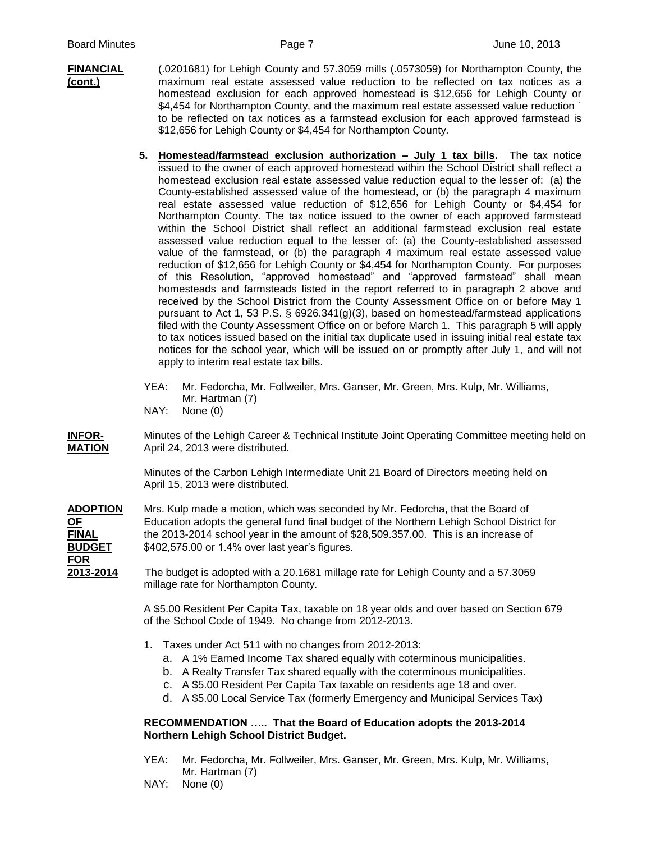- **FINANCIAL** (.0201681) for Lehigh County and 57.3059 mills (.0573059) for Northampton County, the **(cont.)** maximum real estate assessed value reduction to be reflected on tax notices as a homestead exclusion for each approved homestead is \$12,656 for Lehigh County or \$4,454 for Northampton County, and the maximum real estate assessed value reduction ` to be reflected on tax notices as a farmstead exclusion for each approved farmstead is \$12,656 for Lehigh County or \$4,454 for Northampton County.
	- **5. Homestead/farmstead exclusion authorization – July 1 tax bills.** The tax notice issued to the owner of each approved homestead within the School District shall reflect a homestead exclusion real estate assessed value reduction equal to the lesser of: (a) the County-established assessed value of the homestead, or (b) the paragraph 4 maximum real estate assessed value reduction of \$12,656 for Lehigh County or \$4,454 for Northampton County. The tax notice issued to the owner of each approved farmstead within the School District shall reflect an additional farmstead exclusion real estate assessed value reduction equal to the lesser of: (a) the County-established assessed value of the farmstead, or (b) the paragraph 4 maximum real estate assessed value reduction of \$12,656 for Lehigh County or \$4,454 for Northampton County. For purposes of this Resolution, "approved homestead" and "approved farmstead" shall mean homesteads and farmsteads listed in the report referred to in paragraph 2 above and received by the School District from the County Assessment Office on or before May 1 pursuant to Act 1, 53 P.S. § 6926.341(g)(3), based on homestead/farmstead applications filed with the County Assessment Office on or before March 1. This paragraph 5 will apply to tax notices issued based on the initial tax duplicate used in issuing initial real estate tax notices for the school year, which will be issued on or promptly after July 1, and will not apply to interim real estate tax bills.
	- YEA: Mr. Fedorcha, Mr. Follweiler, Mrs. Ganser, Mr. Green, Mrs. Kulp, Mr. Williams, Mr. Hartman (7) NAY: None (0)

**INFOR-** Minutes of the Lehigh Career & Technical Institute Joint Operating Committee meeting held on **MATION** April 24, 2013 were distributed.

> Minutes of the Carbon Lehigh Intermediate Unit 21 Board of Directors meeting held on April 15, 2013 were distributed.

**ADOPTION** Mrs. Kulp made a motion, which was seconded by Mr. Fedorcha, that the Board of **OF** Education adopts the general fund final budget of the Northern Lehigh School District for **FINAL** the 2013-2014 school year in the amount of \$28,509.357.00. This is an increase of **BUDGET** \$402,575.00 or 1.4% over last year's figures. **FOR**

**2013-2014** The budget is adopted with a 20.1681 millage rate for Lehigh County and a 57.3059 millage rate for Northampton County.

> A \$5.00 Resident Per Capita Tax, taxable on 18 year olds and over based on Section 679 of the School Code of 1949. No change from 2012-2013.

- 1. Taxes under Act 511 with no changes from 2012-2013:
	- a. A 1% Earned Income Tax shared equally with coterminous municipalities.
	- b. A Realty Transfer Tax shared equally with the coterminous municipalities.
	- c. A \$5.00 Resident Per Capita Tax taxable on residents age 18 and over.
	- d. A \$5.00 Local Service Tax (formerly Emergency and Municipal Services Tax)

## **RECOMMENDATION ….. That the Board of Education adopts the 2013-2014 Northern Lehigh School District Budget.**

- YEA: Mr. Fedorcha, Mr. Follweiler, Mrs. Ganser, Mr. Green, Mrs. Kulp, Mr. Williams, Mr. Hartman (7)
- NAY: None (0)